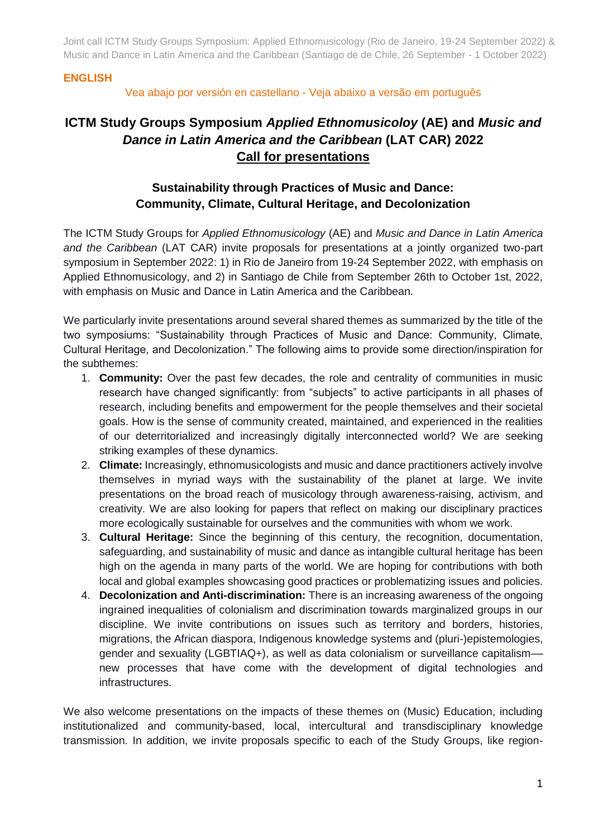#### **ENGLISH**

#### Vea abajo por versión en castellano - Veja abaixo a versão em português

# **ICTM Study Groups Symposium** *Applied Ethnomusicoloy* **(AE) and** *Music and Dance in Latin America and the Caribbean* **(LAT CAR) 2022 Call for presentations**

# **Sustainability through Practices of Music and Dance: Community, Climate, Cultural Heritage, and Decolonization**

The ICTM Study Groups for *Applied Ethnomusicology* (AE) and *Music and Dance in Latin America and the Caribbean* (LAT CAR) invite proposals for presentations at a jointly organized two-part symposium in September 2022: 1) in Rio de Janeiro from 19-24 September 2022, with emphasis on Applied Ethnomusicology, and 2) in Santiago de Chile from September 26th to October 1st, 2022, with emphasis on Music and Dance in Latin America and the Caribbean.

We particularly invite presentations around several shared themes as summarized by the title of the two symposiums: "Sustainability through Practices of Music and Dance: Community, Climate, Cultural Heritage, and Decolonization." The following aims to provide some direction/inspiration for the subthemes:

- 1. **Community:** Over the past few decades, the role and centrality of communities in music research have changed significantly: from "subjects" to active participants in all phases of research, including benefits and empowerment for the people themselves and their societal goals. How is the sense of community created, maintained, and experienced in the realities of our deterritorialized and increasingly digitally interconnected world? We are seeking striking examples of these dynamics.
- 2. **Climate:** Increasingly, ethnomusicologists and music and dance practitioners actively involve themselves in myriad ways with the sustainability of the planet at large. We invite presentations on the broad reach of musicology through awareness-raising, activism, and creativity. We are also looking for papers that reflect on making our disciplinary practices more ecologically sustainable for ourselves and the communities with whom we work.
- 3. **Cultural Heritage:** Since the beginning of this century, the recognition, documentation, safeguarding, and sustainability of music and dance as intangible cultural heritage has been high on the agenda in many parts of the world. We are hoping for contributions with both local and global examples showcasing good practices or problematizing issues and policies.
- 4. **Decolonization and Anti-discrimination:** There is an increasing awareness of the ongoing ingrained inequalities of colonialism and discrimination towards marginalized groups in our discipline. We invite contributions on issues such as territory and borders, histories, migrations, the African diaspora, Indigenous knowledge systems and (pluri-)epistemologies, gender and sexuality (LGBTIAQ+), as well as data colonialism or surveillance capitalism–– new processes that have come with the development of digital technologies and infrastructures.

We also welcome presentations on the impacts of these themes on (Music) Education, including institutionalized and community-based, local, intercultural and transdisciplinary knowledge transmission. In addition, we invite proposals specific to each of the Study Groups, like region-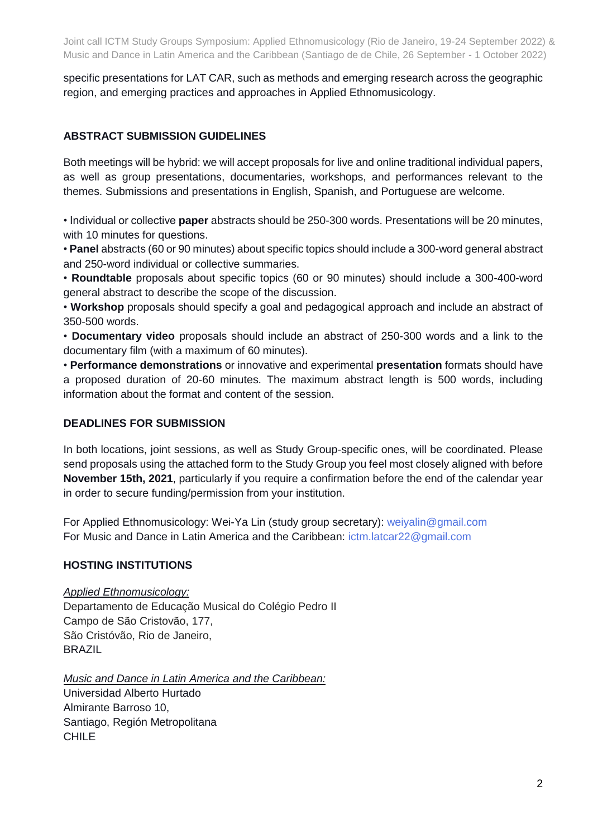specific presentations for LAT CAR, such as methods and emerging research across the geographic region, and emerging practices and approaches in Applied Ethnomusicology.

#### **ABSTRACT SUBMISSION GUIDELINES**

Both meetings will be hybrid: we will accept proposals for live and online traditional individual papers, as well as group presentations, documentaries, workshops, and performances relevant to the themes. Submissions and presentations in English, Spanish, and Portuguese are welcome.

• Individual or collective **paper** abstracts should be 250-300 words. Presentations will be 20 minutes, with 10 minutes for questions.

• **Panel** abstracts (60 or 90 minutes) about specific topics should include a 300-word general abstract and 250-word individual or collective summaries.

• **Roundtable** proposals about specific topics (60 or 90 minutes) should include a 300-400-word general abstract to describe the scope of the discussion.

• **Workshop** proposals should specify a goal and pedagogical approach and include an abstract of 350-500 words.

• **Documentary video** proposals should include an abstract of 250-300 words and a link to the documentary film (with a maximum of 60 minutes).

• **Performance demonstrations** or innovative and experimental **presentation** formats should have a proposed duration of 20-60 minutes. The maximum abstract length is 500 words, including information about the format and content of the session.

#### **DEADLINES FOR SUBMISSION**

In both locations, joint sessions, as well as Study Group-specific ones, will be coordinated. Please send proposals using the attached form to the Study Group you feel most closely aligned with before **November 15th, 2021**, particularly if you require a confirmation before the end of the calendar year in order to secure funding/permission from your institution.

For Applied Ethnomusicology: Wei-Ya Lin (study group secretary): weiyalin@gmail.com For Music and Dance in Latin America and the Caribbean: ictm.latcar22@gmail.com

#### **HOSTING INSTITUTIONS**

#### *Applied Ethnomusicology:*

Departamento de Educação Musical do Colégio Pedro II Campo de São Cristovão, 177, São Cristóvão, Rio de Janeiro, **BRAZIL** 

*Music and Dance in Latin America and the Caribbean:* Universidad Alberto Hurtado Almirante Barroso 10, Santiago, Región Metropolitana **CHILE**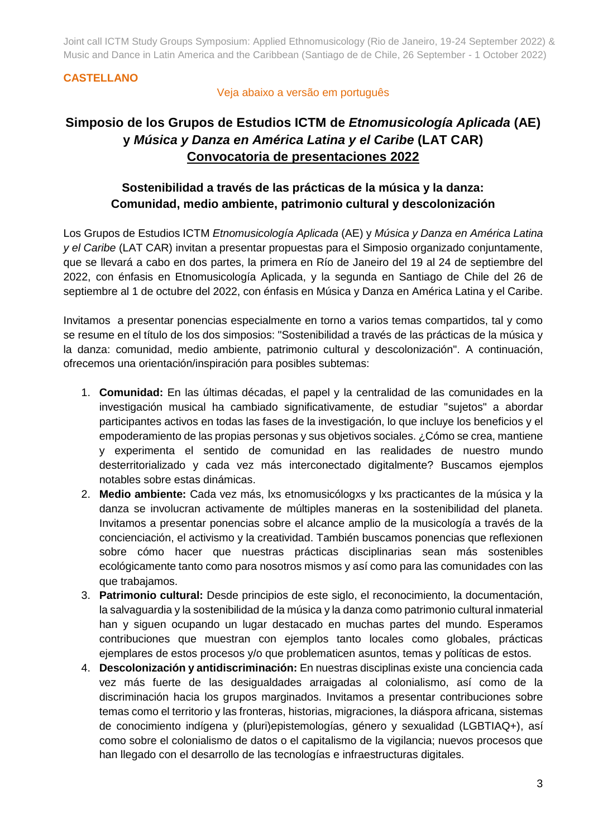#### **CASTELLANO**

#### Veja abaixo a versão em português

# **Simposio de los Grupos de Estudios ICTM de** *Etnomusicología Aplicada* **(AE) y** *Música y Danza en América Latina y el Caribe* **(LAT CAR) Convocatoria de presentaciones 2022**

# **Sostenibilidad a través de las prácticas de la música y la danza: Comunidad, medio ambiente, patrimonio cultural y descolonización**

Los Grupos de Estudios ICTM *Etnomusicología Aplicada* (AE) y *Música y Danza en América Latina y el Caribe* (LAT CAR) invitan a presentar propuestas para el Simposio organizado conjuntamente, que se llevará a cabo en dos partes, la primera en Río de Janeiro del 19 al 24 de septiembre del 2022, con énfasis en Etnomusicología Aplicada, y la segunda en Santiago de Chile del 26 de septiembre al 1 de octubre del 2022, con énfasis en Música y Danza en América Latina y el Caribe.

Invitamos a presentar ponencias especialmente en torno a varios temas compartidos, tal y como se resume en el título de los dos simposios: "Sostenibilidad a través de las prácticas de la música y la danza: comunidad, medio ambiente, patrimonio cultural y descolonización". A continuación, ofrecemos una orientación/inspiración para posibles subtemas:

- 1. **Comunidad:** En las últimas décadas, el papel y la centralidad de las comunidades en la investigación musical ha cambiado significativamente, de estudiar "sujetos" a abordar participantes activos en todas las fases de la investigación, lo que incluye los beneficios y el empoderamiento de las propias personas y sus objetivos sociales. ¿Cómo se crea, mantiene y experimenta el sentido de comunidad en las realidades de nuestro mundo desterritorializado y cada vez más interconectado digitalmente? Buscamos ejemplos notables sobre estas dinámicas.
- 2. **Medio ambiente:** Cada vez más, lxs etnomusicólogxs y lxs practicantes de la música y la danza se involucran activamente de múltiples maneras en la sostenibilidad del planeta. Invitamos a presentar ponencias sobre el alcance amplio de la musicología a través de la concienciación, el activismo y la creatividad. También buscamos ponencias que reflexionen sobre cómo hacer que nuestras prácticas disciplinarias sean más sostenibles ecológicamente tanto como para nosotros mismos y así como para las comunidades con las que trabajamos.
- 3. **Patrimonio cultural:** Desde principios de este siglo, el reconocimiento, la documentación, la salvaguardia y la sostenibilidad de la música y la danza como patrimonio cultural inmaterial han y siguen ocupando un lugar destacado en muchas partes del mundo. Esperamos contribuciones que muestran con ejemplos tanto locales como globales, prácticas ejemplares de estos procesos y/o que problematicen asuntos, temas y políticas de estos.
- 4. **Descolonización y antidiscriminación:** En nuestras disciplinas existe una conciencia cada vez más fuerte de las desigualdades arraigadas al colonialismo, así como de la discriminación hacia los grupos marginados. Invitamos a presentar contribuciones sobre temas como el territorio y las fronteras, historias, migraciones, la diáspora africana, sistemas de conocimiento indígena y (pluri)epistemologías, género y sexualidad (LGBTIAQ+), así como sobre el colonialismo de datos o el capitalismo de la vigilancia; nuevos procesos que han llegado con el desarrollo de las tecnologías e infraestructuras digitales.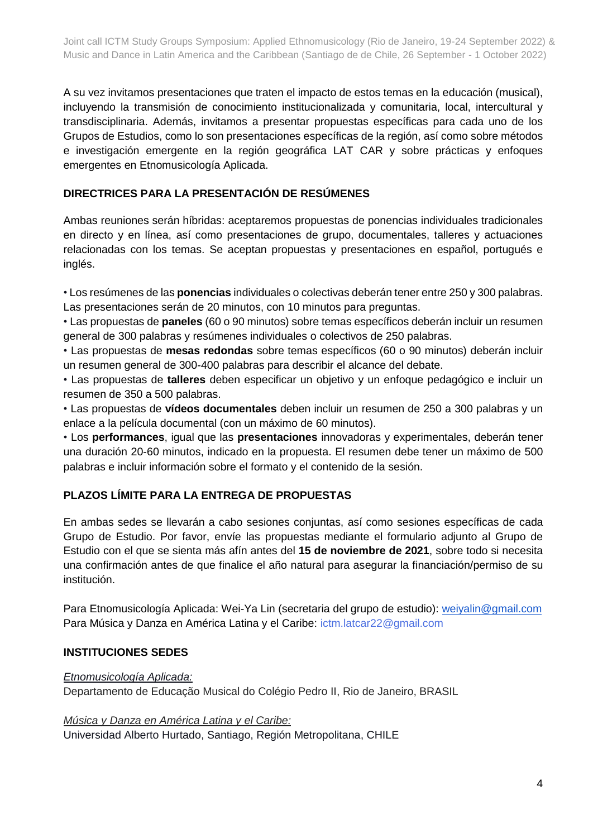A su vez invitamos presentaciones que traten el impacto de estos temas en la educación (musical), incluyendo la transmisión de conocimiento institucionalizada y comunitaria, local, intercultural y transdisciplinaria. Además, invitamos a presentar propuestas específicas para cada uno de los Grupos de Estudios, como lo son presentaciones específicas de la región, así como sobre métodos e investigación emergente en la región geográfica LAT CAR y sobre prácticas y enfoques emergentes en Etnomusicología Aplicada.

#### **DIRECTRICES PARA LA PRESENTACIÓN DE RESÚMENES**

Ambas reuniones serán híbridas: aceptaremos propuestas de ponencias individuales tradicionales en directo y en línea, así como presentaciones de grupo, documentales, talleres y actuaciones relacionadas con los temas. Se aceptan propuestas y presentaciones en español, portugués e inglés.

• Los resúmenes de las **ponencias** individuales o colectivas deberán tener entre 250 y 300 palabras. Las presentaciones serán de 20 minutos, con 10 minutos para preguntas.

• Las propuestas de **paneles** (60 o 90 minutos) sobre temas específicos deberán incluir un resumen general de 300 palabras y resúmenes individuales o colectivos de 250 palabras.

• Las propuestas de **mesas redondas** sobre temas específicos (60 o 90 minutos) deberán incluir un resumen general de 300-400 palabras para describir el alcance del debate.

• Las propuestas de **talleres** deben especificar un objetivo y un enfoque pedagógico e incluir un resumen de 350 a 500 palabras.

• Las propuestas de **vídeos documentales** deben incluir un resumen de 250 a 300 palabras y un enlace a la película documental (con un máximo de 60 minutos).

• Los **performances**, igual que las **presentaciones** innovadoras y experimentales, deberán tener una duración 20-60 minutos, indicado en la propuesta. El resumen debe tener un máximo de 500 palabras e incluir información sobre el formato y el contenido de la sesión.

## **PLAZOS LÍMITE PARA LA ENTREGA DE PROPUESTAS**

En ambas sedes se llevarán a cabo sesiones conjuntas, así como sesiones específicas de cada Grupo de Estudio. Por favor, envíe las propuestas mediante el formulario adjunto al Grupo de Estudio con el que se sienta más afín antes del **15 de noviembre de 2021**, sobre todo si necesita una confirmación antes de que finalice el año natural para asegurar la financiación/permiso de su institución.

Para Etnomusicología Aplicada: Wei-Ya Lin (secretaria del grupo de estudio): [weiyalin@gmail.com](mailto:weiyalin@gmail.com) Para Música y Danza en América Latina y el Caribe: ictm.latcar22@gmail.com

## **INSTITUCIONES SEDES**

#### *Etnomusicología Aplicada:*

Departamento de Educação Musical do Colégio Pedro II, Rio de Janeiro, BRASIL

*Música y Danza en América Latina y el Caribe:*

Universidad Alberto Hurtado, Santiago, Región Metropolitana, CHILE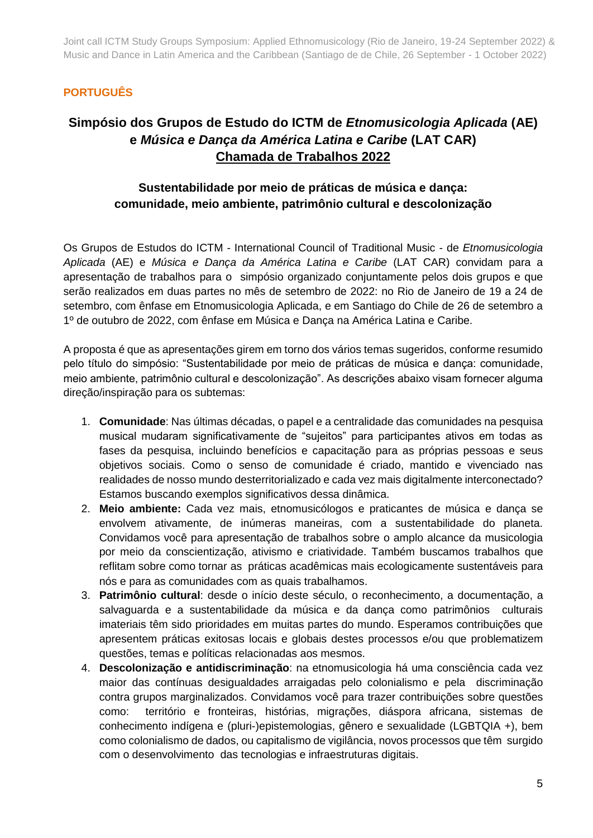## **PORTUGUÊS**

# **Simpósio dos Grupos de Estudo do ICTM de** *Etnomusicologia Aplicada* **(AE) e** *Música e Dança da América Latina e Caribe* **(LAT CAR) Chamada de Trabalhos 2022**

# **Sustentabilidade por meio de práticas de música e dança: comunidade, meio ambiente, patrimônio cultural e descolonização**

Os Grupos de Estudos do ICTM - International Council of Traditional Music - de *Etnomusicologia Aplicada* (AE) e *Música e Dança da América Latina e Caribe* (LAT CAR) convidam para a apresentação de trabalhos para o simpósio organizado conjuntamente pelos dois grupos e que serão realizados em duas partes no mês de setembro de 2022: no Rio de Janeiro de 19 a 24 de setembro, com ênfase em Etnomusicologia Aplicada, e em Santiago do Chile de 26 de setembro a 1º de outubro de 2022, com ênfase em Música e Dança na América Latina e Caribe.

A proposta é que as apresentações girem em torno dos vários temas sugeridos, conforme resumido pelo título do simpósio: "Sustentabilidade por meio de práticas de música e dança: comunidade, meio ambiente, patrimônio cultural e descolonização". As descrições abaixo visam fornecer alguma direção/inspiração para os subtemas:

- 1. **Comunidade**: Nas últimas décadas, o papel e a centralidade das comunidades na pesquisa musical mudaram significativamente de "sujeitos" para participantes ativos em todas as fases da pesquisa, incluindo benefícios e capacitação para as próprias pessoas e seus objetivos sociais. Como o senso de comunidade é criado, mantido e vivenciado nas realidades de nosso mundo desterritorializado e cada vez mais digitalmente interconectado? Estamos buscando exemplos significativos dessa dinâmica.
- 2. **Meio ambiente:** Cada vez mais, etnomusicólogos e praticantes de música e dança se envolvem ativamente, de inúmeras maneiras, com a sustentabilidade do planeta. Convidamos você para apresentação de trabalhos sobre o amplo alcance da musicologia por meio da conscientização, ativismo e criatividade. Também buscamos trabalhos que reflitam sobre como tornar as práticas acadêmicas mais ecologicamente sustentáveis para nós e para as comunidades com as quais trabalhamos.
- 3. **Patrimônio cultural**: desde o início deste século, o reconhecimento, a documentação, a salvaguarda e a sustentabilidade da música e da dança como patrimônios culturais imateriais têm sido prioridades em muitas partes do mundo. Esperamos contribuições que apresentem práticas exitosas locais e globais destes processos e/ou que problematizem questões, temas e políticas relacionadas aos mesmos.
- 4. **Descolonização e antidiscriminação**: na etnomusicologia há uma consciência cada vez maior das contínuas desigualdades arraigadas pelo colonialismo e pela discriminação contra grupos marginalizados. Convidamos você para trazer contribuições sobre questões como: território e fronteiras, histórias, migrações, diáspora africana, sistemas de conhecimento indígena e (pluri-)epistemologias, gênero e sexualidade (LGBTQIA +), bem como colonialismo de dados, ou capitalismo de vigilância, novos processos que têm surgido com o desenvolvimento das tecnologias e infraestruturas digitais.